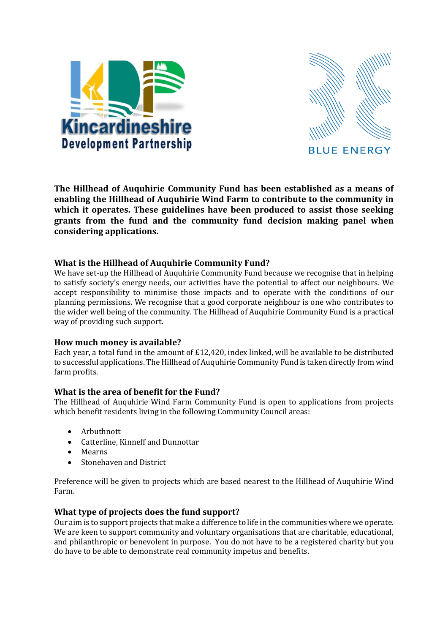



**The Hillhead of Auquhirie Community Fund has been established as a means of enabling the Hillhead of Auquhirie Wind Farm to contribute to the community in which it operates. These guidelines have been produced to assist those seeking grants from the fund and the community fund decision making panel when considering applications.**

## **What is the Hillhead of Auquhirie Community Fund?**

We have set-up the Hillhead of Auquhirie Community Fund because we recognise that in helping to satisfy society's energy needs, our activities have the potential to affect our neighbours. We accept responsibility to minimise those impacts and to operate with the conditions of our planning permissions. We recognise that a good corporate neighbour is one who contributes to the wider well being of the community. The Hillhead of Auquhirie Community Fund is a practical way of providing such support.

### **How much money is available?**

Each year, a total fund in the amount of £12,420, index linked, will be available to be distributed to successful applications. The Hillhead of Auquhirie Community Fund is taken directly from wind farm profits.

# **What is the area of benefit for the Fund?**

The Hillhead of Auquhirie Wind Farm Community Fund is open to applications from projects which benefit residents living in the following Community Council areas:

- Arbuthnott
- Catterline, Kinneff and Dunnottar
- Mearns
- Stonehaven and District

Preference will be given to projects which are based nearest to the Hillhead of Auquhirie Wind Farm.

# **What type of projects does the fund support?**

Our aim is to support projects that make a difference to life in the communities where we operate. We are keen to support community and voluntary organisations that are charitable, educational, and philanthropic or benevolent in purpose. You do not have to be a registered charity but you do have to be able to demonstrate real community impetus and benefits.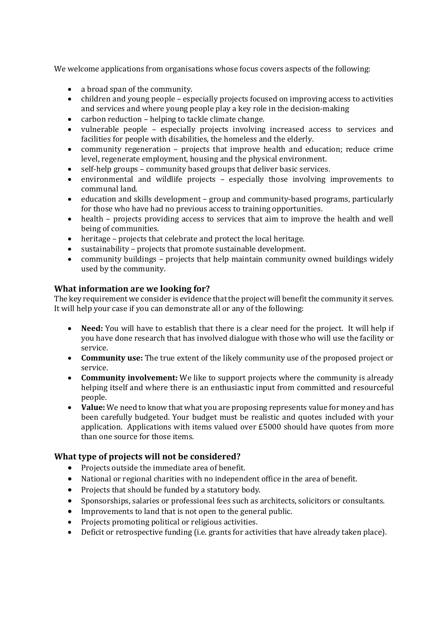We welcome applications from organisations whose focus covers aspects of the following:

- a broad span of the community.
- children and young people especially projects focused on improving access to activities and services and where young people play a key role in the decision-making
- carbon reduction helping to tackle climate change.
- vulnerable people especially projects involving increased access to services and facilities for people with disabilities, the homeless and the elderly.
- community regeneration projects that improve health and education; reduce crime level, regenerate employment, housing and the physical environment.
- self-help groups community based groups that deliver basic services.
- environmental and wildlife projects especially those involving improvements to communal land.
- education and skills development group and community-based programs, particularly for those who have had no previous access to training opportunities.
- health projects providing access to services that aim to improve the health and well being of communities.
- heritage projects that celebrate and protect the local heritage.
- sustainability projects that promote sustainable development.
- community buildings projects that help maintain community owned buildings widely used by the community.

## **What information are we looking for?**

The key requirement we consider is evidence that the project will benefit the community it serves. It will help your case if you can demonstrate all or any of the following:

- **Need:** You will have to establish that there is a clear need for the project. It will help if you have done research that has involved dialogue with those who will use the facility or service.
- **Community use:** The true extent of the likely community use of the proposed project or service.
- **Community involvement:** We like to support projects where the community is already helping itself and where there is an enthusiastic input from committed and resourceful people.
- **Value:** We need to know that what you are proposing represents value for money and has been carefully budgeted. Your budget must be realistic and quotes included with your application. Applications with items valued over £5000 should have quotes from more than one source for those items.

# **What type of projects will not be considered?**

- Projects outside the immediate area of benefit.
- National or regional charities with no independent office in the area of benefit.
- Projects that should be funded by a statutory body.
- Sponsorships, salaries or professional fees such as architects, solicitors or consultants.
- Improvements to land that is not open to the general public.
- Projects promoting political or religious activities.
- Deficit or retrospective funding (i.e. grants for activities that have already taken place).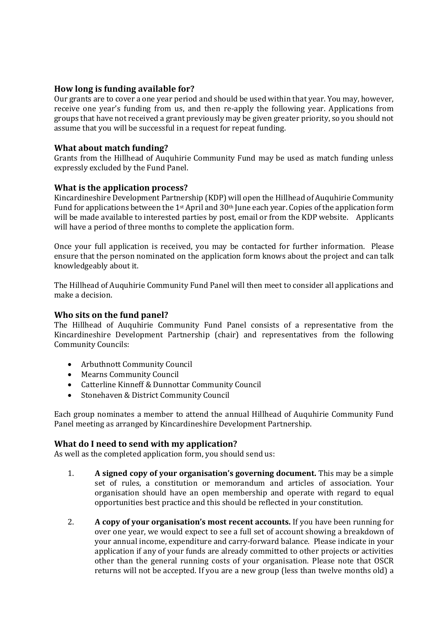## **How long is funding available for?**

Our grants are to cover a one year period and should be used within that year. You may, however, receive one year's funding from us, and then re-apply the following year. Applications from groups that have not received a grant previously may be given greater priority, so you should not assume that you will be successful in a request for repeat funding.

### **What about match funding?**

Grants from the Hillhead of Auquhirie Community Fund may be used as match funding unless expressly excluded by the Fund Panel.

### **What is the application process?**

Kincardineshire Development Partnership (KDP) will open the Hillhead of Auquhirie Community Fund for applications between the 1st April and 30th June each year. Copies of the application form will be made available to interested parties by post, email or from the KDP website. Applicants will have a period of three months to complete the application form.

Once your full application is received, you may be contacted for further information. Please ensure that the person nominated on the application form knows about the project and can talk knowledgeably about it.

The Hillhead of Auquhirie Community Fund Panel will then meet to consider all applications and make a decision.

## **Who sits on the fund panel?**

The Hillhead of Auquhirie Community Fund Panel consists of a representative from the Kincardineshire Development Partnership (chair) and representatives from the following Community Councils:

- Arbuthnott Community Council
- Mearns Community Council
- Catterline Kinneff & Dunnottar Community Council
- Stonehaven & District Community Council

Each group nominates a member to attend the annual Hillhead of Auquhirie Community Fund Panel meeting as arranged by Kincardineshire Development Partnership.

### **What do I need to send with my application?**

As well as the completed application form, you should send us:

- 1. **A signed copy of your organisation's governing document.** This may be a simple set of rules, a constitution or memorandum and articles of association. Your organisation should have an open membership and operate with regard to equal opportunities best practice and this should be reflected in your constitution.
- 2. **A copy of your organisation's most recent accounts.** If you have been running for over one year, we would expect to see a full set of account showing a breakdown of your annual income, expenditure and carry-forward balance. Please indicate in your application if any of your funds are already committed to other projects or activities other than the general running costs of your organisation. Please note that OSCR returns will not be accepted. If you are a new group (less than twelve months old) a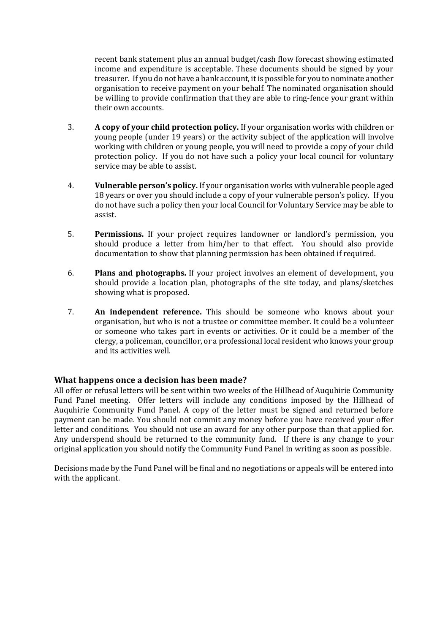recent bank statement plus an annual budget/cash flow forecast showing estimated income and expenditure is acceptable. These documents should be signed by your treasurer. If you do not have a bank account, it is possible for you to nominate another organisation to receive payment on your behalf. The nominated organisation should be willing to provide confirmation that they are able to ring-fence your grant within their own accounts.

- 3. **A copy of your child protection policy.** If your organisation works with children or young people (under 19 years) or the activity subject of the application will involve working with children or young people, you will need to provide a copy of your child protection policy. If you do not have such a policy your local council for voluntary service may be able to assist.
- 4. **Vulnerable person's policy.** If your organisation works with vulnerable people aged 18 years or over you should include a copy of your vulnerable person's policy. If you do not have such a policy then your local Council for Voluntary Service may be able to assist.
- 5. **Permissions.** If your project requires landowner or landlord's permission, you should produce a letter from him/her to that effect. You should also provide documentation to show that planning permission has been obtained if required.
- 6. **Plans and photographs.** If your project involves an element of development, you should provide a location plan, photographs of the site today, and plans/sketches showing what is proposed.
- 7. **An independent reference.** This should be someone who knows about your organisation, but who is not a trustee or committee member. It could be a volunteer or someone who takes part in events or activities. Or it could be a member of the clergy, a policeman, councillor, or a professional local resident who knows your group and its activities well.

### **What happens once a decision has been made?**

All offer or refusal letters will be sent within two weeks of the Hillhead of Auquhirie Community Fund Panel meeting. Offer letters will include any conditions imposed by the Hillhead of Auquhirie Community Fund Panel. A copy of the letter must be signed and returned before payment can be made. You should not commit any money before you have received your offer letter and conditions. You should not use an award for any other purpose than that applied for. Any underspend should be returned to the community fund. If there is any change to your original application you should notify the Community Fund Panel in writing as soon as possible.

Decisions made by the Fund Panel will be final and no negotiations or appeals will be entered into with the applicant.